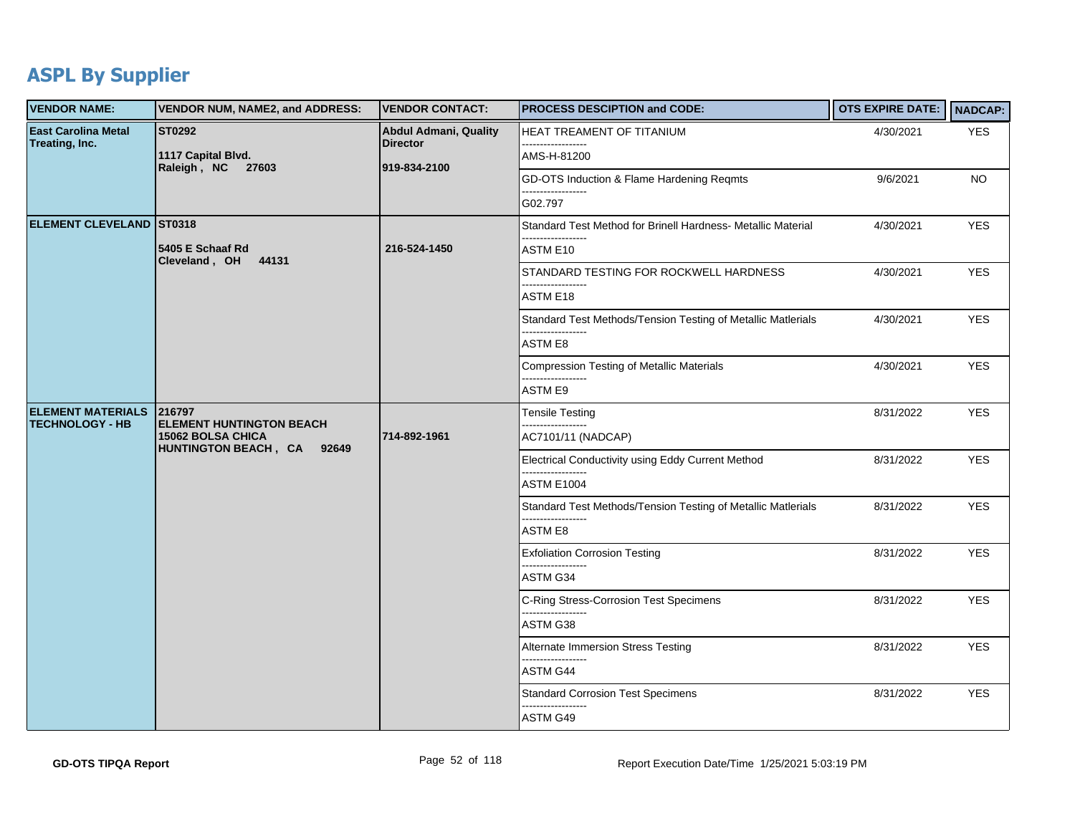## **ASPL By Supplier**

| <b>VENDOR NAME:</b>                                | <b>VENDOR NUM, NAME2, and ADDRESS:</b>                                                                 | <b>VENDOR CONTACT:</b>                                          | <b>PROCESS DESCIPTION and CODE:</b>                          | OTS EXPIRE DATE:   NADCAP: |            |
|----------------------------------------------------|--------------------------------------------------------------------------------------------------------|-----------------------------------------------------------------|--------------------------------------------------------------|----------------------------|------------|
| East Carolina Metal<br>Treating, Inc.              | <b>ST0292</b><br>1117 Capital Blvd.<br>Raleigh, NC 27603                                               | <b>Abdul Admani, Quality</b><br><b>Director</b><br>919-834-2100 | <b>HEAT TREAMENT OF TITANIUM</b><br>------------------       | 4/30/2021                  | <b>YES</b> |
|                                                    |                                                                                                        |                                                                 | AMS-H-81200                                                  |                            |            |
|                                                    |                                                                                                        |                                                                 | GD-OTS Induction & Flame Hardening Reqmts                    | 9/6/2021                   | <b>NO</b>  |
|                                                    |                                                                                                        |                                                                 | G02.797                                                      |                            |            |
| <b>ELEMENT CLEVELAND ST0318</b>                    |                                                                                                        |                                                                 | Standard Test Method for Brinell Hardness- Metallic Material | 4/30/2021                  | <b>YES</b> |
|                                                    | 5405 E Schaaf Rd<br>Cleveland, OH 44131                                                                | 216-524-1450                                                    | ASTM E10                                                     |                            |            |
|                                                    |                                                                                                        |                                                                 | STANDARD TESTING FOR ROCKWELL HARDNESS                       | 4/30/2021                  | <b>YES</b> |
|                                                    |                                                                                                        |                                                                 | <b>ASTM E18</b>                                              |                            |            |
|                                                    |                                                                                                        |                                                                 | Standard Test Methods/Tension Testing of Metallic Matlerials | 4/30/2021                  | <b>YES</b> |
|                                                    |                                                                                                        |                                                                 | ASTM E8                                                      |                            |            |
|                                                    |                                                                                                        |                                                                 | <b>Compression Testing of Metallic Materials</b>             | 4/30/2021                  | <b>YES</b> |
|                                                    |                                                                                                        |                                                                 | ASTM E9                                                      |                            |            |
| <b>ELEMENT MATERIALS</b><br><b>TECHNOLOGY - HB</b> | 216797<br><b>ELEMENT HUNTINGTON BEACH</b><br><b>15062 BOLSA CHICA</b><br>HUNTINGTON BEACH, CA<br>92649 | 714-892-1961                                                    | <b>Tensile Testing</b>                                       | 8/31/2022                  | <b>YES</b> |
|                                                    |                                                                                                        |                                                                 | AC7101/11 (NADCAP)                                           |                            |            |
|                                                    |                                                                                                        |                                                                 | Electrical Conductivity using Eddy Current Method<br>.       | 8/31/2022                  | <b>YES</b> |
|                                                    |                                                                                                        |                                                                 | ASTM E1004                                                   |                            |            |
|                                                    |                                                                                                        |                                                                 | Standard Test Methods/Tension Testing of Metallic Matlerials | 8/31/2022                  | <b>YES</b> |
|                                                    |                                                                                                        |                                                                 | ASTM E8                                                      |                            |            |
|                                                    |                                                                                                        |                                                                 | <b>Exfoliation Corrosion Testing</b>                         | 8/31/2022                  | <b>YES</b> |
|                                                    |                                                                                                        |                                                                 | ASTM G34                                                     |                            |            |
|                                                    |                                                                                                        |                                                                 | C-Ring Stress-Corrosion Test Specimens                       | 8/31/2022                  | <b>YES</b> |
|                                                    |                                                                                                        |                                                                 | ASTM G38                                                     |                            |            |
|                                                    |                                                                                                        |                                                                 | Alternate Immersion Stress Testing                           | 8/31/2022                  | <b>YES</b> |
|                                                    |                                                                                                        |                                                                 | ASTM G44                                                     |                            |            |
|                                                    |                                                                                                        |                                                                 | <b>Standard Corrosion Test Specimens</b>                     | 8/31/2022                  | <b>YES</b> |
|                                                    |                                                                                                        |                                                                 | ASTM G49                                                     |                            |            |